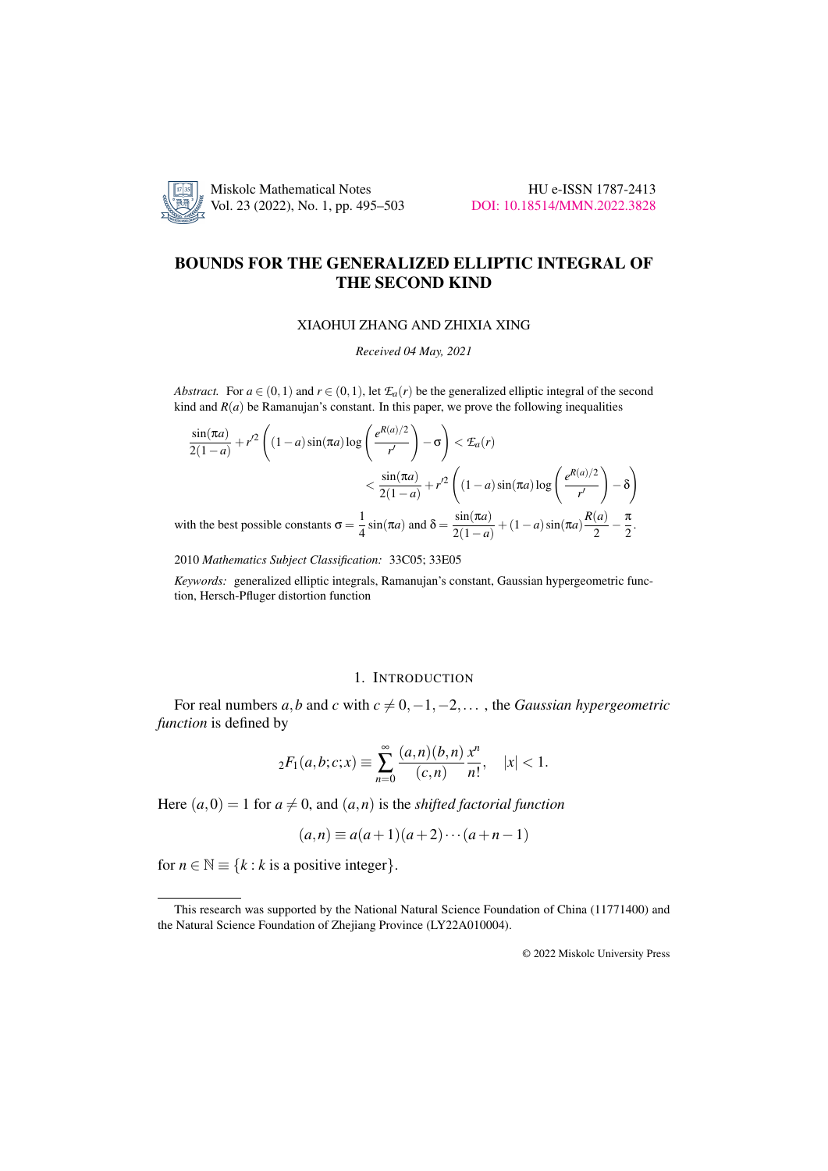

# BOUNDS FOR THE GENERALIZED ELLIPTIC INTEGRAL OF THE SECOND KIND

### XIAOHUI ZHANG AND ZHIXIA XING

*Received 04 May, 2021*

*Abstract.* For  $a \in (0,1)$  and  $r \in (0,1)$ , let  $\mathcal{F}_a(r)$  be the generalized elliptic integral of the second kind and  $R(a)$  be Ramanujan's constant. In this paper, we prove the following inequalities

$$
\frac{\sin(\pi a)}{2(1-a)} + r'^2 \left( (1-a)\sin(\pi a)\log\left(\frac{e^{R(a)/2}}{r'}\right) - \sigma \right) < \mathcal{I}_a(r)
$$
\n
$$
< \frac{\sin(\pi a)}{2(1-a)} + r^2 \left( (1-a)\sin(\pi a)\log\left(\frac{e^{R(a)/2}}{r'}\right) - \delta \right)
$$
\nwith the best possible constants  $\sigma = \frac{1}{4}\sin(\pi a)$  and  $\delta = \frac{\sin(\pi a)}{2(1-a)} + (1-a)\sin(\pi a)\frac{R(a)}{2} - \frac{\pi}{2}$ .

2010 *Mathematics Subject Classification:* 33C05; 33E05

*Keywords:* generalized elliptic integrals, Ramanujan's constant, Gaussian hypergeometric function, Hersch-Pfluger distortion function

## 1. INTRODUCTION

For real numbers *a*,*b* and *c* with  $c \neq 0, -1, -2, \ldots$ , the *Gaussian hypergeometric function* is defined by

$$
{}_2F_1(a,b;c;x) \equiv \sum_{n=0}^{\infty} \frac{(a,n)(b,n)}{(c,n)} \frac{x^n}{n!}, \quad |x| < 1.
$$

Here  $(a,0) = 1$  for  $a \neq 0$ , and  $(a,n)$  is the *shifted factorial function* 

$$
(a,n) \equiv a(a+1)(a+2)\cdots(a+n-1)
$$

for  $n \in \mathbb{N} \equiv \{k : k \text{ is a positive integer}\}.$ 

© 2022 Miskolc University Press

This research was supported by the National Natural Science Foundation of China (11771400) and the Natural Science Foundation of Zhejiang Province (LY22A010004).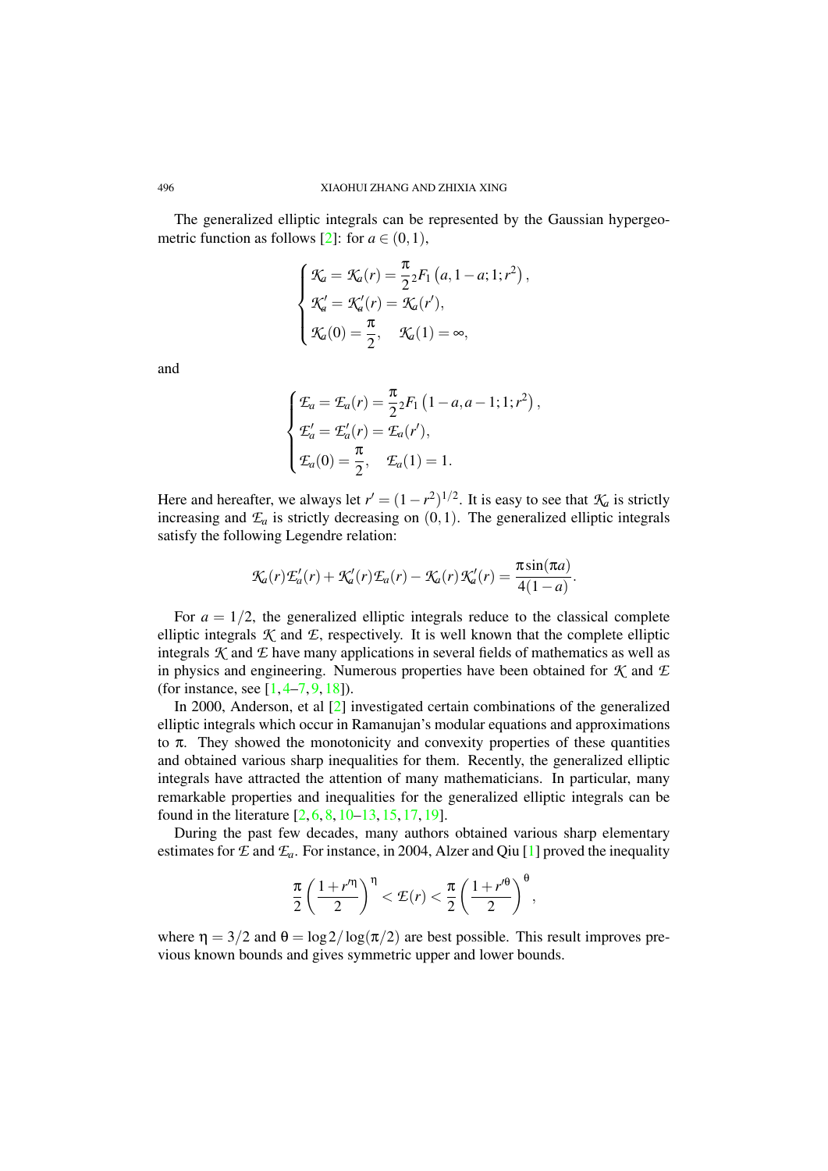The generalized elliptic integrals can be represented by the Gaussian hypergeo-metric function as follows [\[2\]](#page-7-0): for  $a \in (0,1)$ ,

$$
\begin{cases}\n\mathcal{K}_a = \mathcal{K}_a(r) = \frac{\pi}{2} 2F_1(a, 1 - a; 1; r^2), \\
\mathcal{K}'_a = \mathcal{K}'_a(r) = \mathcal{K}_a(r'), \\
\mathcal{K}_a(0) = \frac{\pi}{2}, \quad \mathcal{K}_a(1) = \infty,\n\end{cases}
$$

and

$$
\begin{cases}\n\mathcal{E}_a = \mathcal{E}_a(r) = \frac{\pi}{2} P_1 \left(1 - a, a - 1; 1; r^2\right), \\
\mathcal{E}'_a = \mathcal{E}'_a(r) = \mathcal{E}_a(r'), \\
\mathcal{E}_a(0) = \frac{\pi}{2}, \quad \mathcal{E}_a(1) = 1.\n\end{cases}
$$

Here and hereafter, we always let  $r' = (1 - r^2)^{1/2}$ . It is easy to see that  $K_a$  is strictly increasing and  $\mathcal{E}_a$  is strictly decreasing on  $(0,1)$ . The generalized elliptic integrals satisfy the following Legendre relation:

$$
\mathcal{K}_a(r)\mathcal{L}_a'(r) + \mathcal{K}_a'(r)\mathcal{L}_a(r) - \mathcal{K}_a(r)\mathcal{K}_a'(r) = \frac{\pi \sin(\pi a)}{4(1-a)}.
$$

For  $a = 1/2$ , the generalized elliptic integrals reduce to the classical complete elliptic integrals  $K$  and  $E$ , respectively. It is well known that the complete elliptic integrals  $K$  and  $E$  have many applications in several fields of mathematics as well as in physics and engineering. Numerous properties have been obtained for *K* and *E* (for instance, see [\[1,](#page-7-1) [4](#page-7-2)[–7,](#page-7-3) [9,](#page-7-4) [18\]](#page-8-0)).

In 2000, Anderson, et al [\[2\]](#page-7-0) investigated certain combinations of the generalized elliptic integrals which occur in Ramanujan's modular equations and approximations to  $\pi$ . They showed the monotonicity and convexity properties of these quantities and obtained various sharp inequalities for them. Recently, the generalized elliptic integrals have attracted the attention of many mathematicians. In particular, many remarkable properties and inequalities for the generalized elliptic integrals can be found in the literature [\[2,](#page-7-0) [6,](#page-7-5) [8,](#page-7-6) [10](#page-7-7)[–13,](#page-7-8) [15,](#page-7-9) [17,](#page-8-1) [19\]](#page-8-2).

During the past few decades, many authors obtained various sharp elementary estimates for  $E$  and  $E_a$ . For instance, in 2004, Alzer and Qiu [\[1\]](#page-7-1) proved the inequality

$$
\frac{\pi}{2}\left(\frac{1+r^{\prime\eta}}{2}\right)^{\eta} < \mathcal{E}(r) < \frac{\pi}{2}\left(\frac{1+r^{\prime\theta}}{2}\right)^{\theta},
$$

where  $\eta = 3/2$  and  $\theta = \log 2/\log(\pi/2)$  are best possible. This result improves previous known bounds and gives symmetric upper and lower bounds.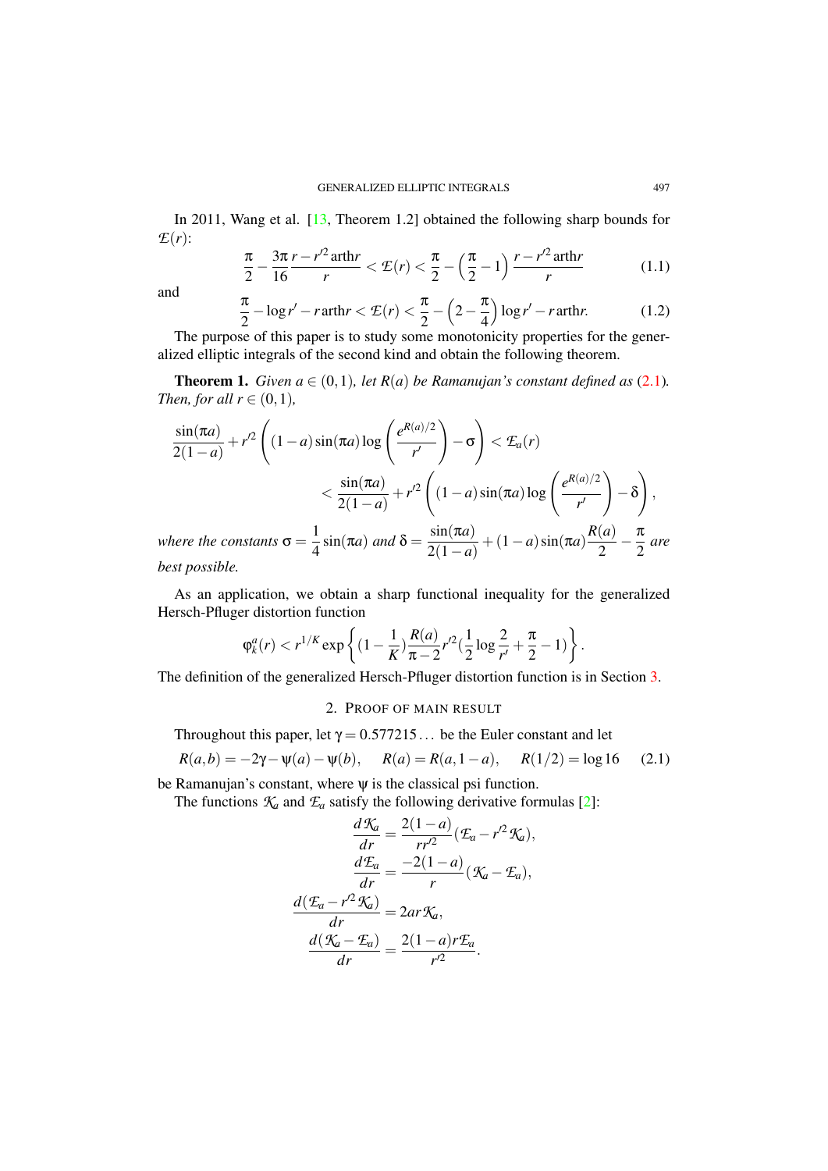In 2011, Wang et al. [\[13,](#page-7-8) Theorem 1.2] obtained the following sharp bounds for *E*(*r*):

<span id="page-2-2"></span>
$$
\frac{\pi}{2} - \frac{3\pi}{16} \frac{r - r'^2 \operatorname{arthr}}{r} < \mathcal{E}(r) < \frac{\pi}{2} - \left(\frac{\pi}{2} - 1\right) \frac{r - r'^2 \operatorname{arthr}}{r} \tag{1.1}
$$

and

<span id="page-2-3"></span>
$$
\frac{\pi}{2} - \log r' - r \operatorname{arth} r < \mathcal{E}(r) < \frac{\pi}{2} - \left(2 - \frac{\pi}{4}\right) \log r' - r \operatorname{arth} r. \tag{1.2}
$$

The purpose of this paper is to study some monotonicity properties for the generalized elliptic integrals of the second kind and obtain the following theorem.

<span id="page-2-1"></span>**Theorem 1.** *Given a*  $\in$   $(0,1)$ *, let*  $R(a)$  *be Ramanujan's constant defined as*  $(2.1)$ *. Then, for all*  $r \in (0,1)$ *,* 

$$
\frac{\sin(\pi a)}{2(1-a)} + r'^2 \left( (1-a)\sin(\pi a)\log\left(\frac{e^{R(a)/2}}{r'}\right) - \sigma \right) < \mathcal{I}_a(r)
$$
  

$$
< \frac{\sin(\pi a)}{2(1-a)} + r'^2 \left( (1-a)\sin(\pi a)\log\left(\frac{e^{R(a)/2}}{r'}\right) - \delta \right),
$$
  
where the constants  $\sigma = \frac{1}{4}\sin(\pi a)$  and  $\delta = \frac{\sin(\pi a)}{2(1-a)} + (1-a)\sin(\pi a)\frac{R(a)}{2} - \frac{\pi}{2}$  are  
best possible.

As an application, we obtain a sharp functional inequality for the generalized Hersch-Pfluger distortion function

$$
\varphi_k^a(r) < r^{1/K} \exp\left\{ (1 - \frac{1}{K}) \frac{R(a)}{\pi - 2} r'^2 \left( \frac{1}{2} \log \frac{2}{r'} + \frac{\pi}{2} - 1 \right) \right\}.
$$

The definition of the generalized Hersch-Pfluger distortion function is in Section [3.](#page-6-0)

## <span id="page-2-0"></span>2. PROOF OF MAIN RESULT

Throughout this paper, let  $\gamma = 0.577215...$  be the Euler constant and let

$$
R(a,b) = -2\gamma - \psi(a) - \psi(b), \quad R(a) = R(a,1-a), \quad R(1/2) = \log 16 \quad (2.1)
$$

be Ramanujan's constant, where  $\psi$  is the classical psi function.

The functions  $K_a$  and  $\mathcal{L}_a$  satisfy the following derivative formulas [\[2\]](#page-7-0):

$$
\frac{d\mathcal{K}_a}{dr} = \frac{2(1-a)}{rr'^2}(\mathcal{E}_a - r'^2 \mathcal{K}_a),
$$

$$
\frac{d\mathcal{E}_a}{dr} = \frac{-2(1-a)}{r}(\mathcal{K}_a - \mathcal{E}_a),
$$

$$
\frac{d(\mathcal{E}_a - r'^2 \mathcal{K}_a)}{dr} = 2ar\mathcal{K}_a,
$$

$$
\frac{d(\mathcal{K}_a - \mathcal{E}_a)}{dr} = \frac{2(1-a)r\mathcal{E}_a}{r'^2}.
$$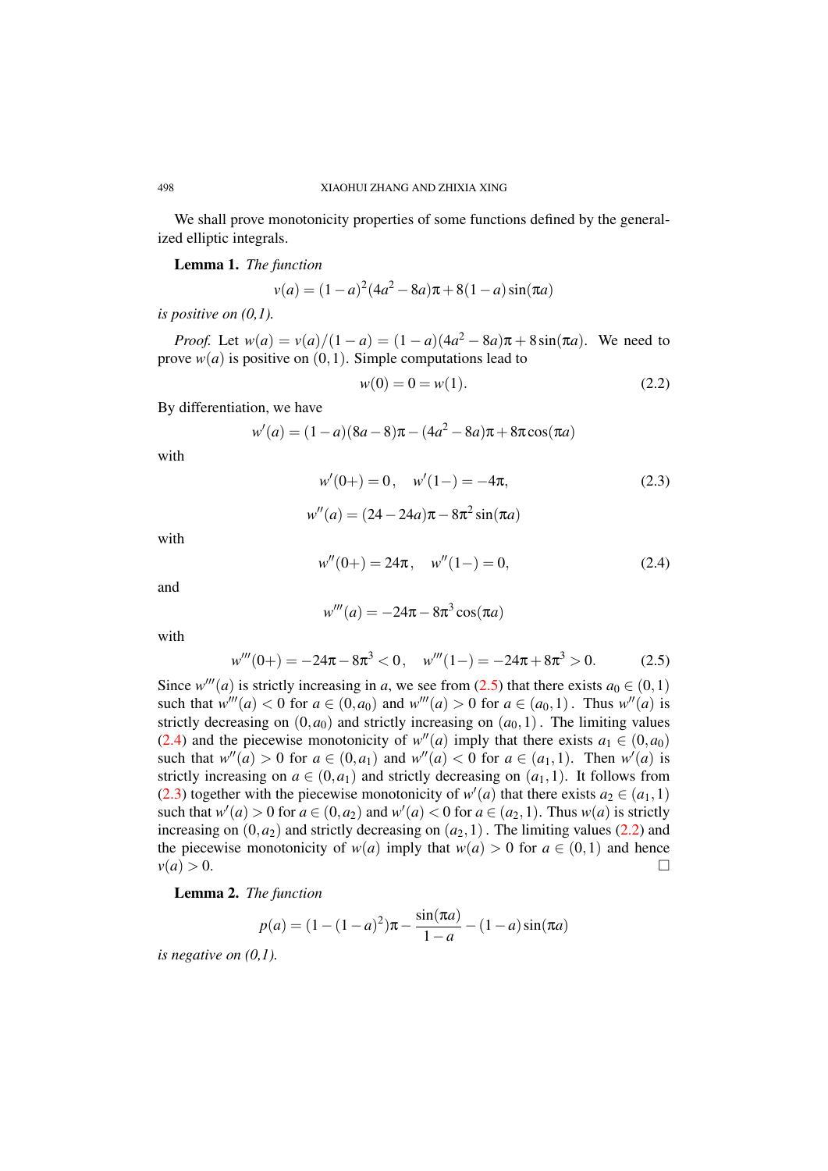We shall prove monotonicity properties of some functions defined by the generalized elliptic integrals.

<span id="page-3-4"></span>Lemma 1. *The function*

$$
v(a) = (1 - a)^2 (4a^2 - 8a)\pi + 8(1 - a)\sin(\pi a)
$$

*is positive on (0,1).*

*Proof.* Let  $w(a) = v(a)/(1 - a) = (1 - a)(4a^2 - 8a)\pi + 8\sin(\pi a)$ . We need to prove  $w(a)$  is positive on  $(0,1)$ . Simple computations lead to

<span id="page-3-3"></span><span id="page-3-2"></span>
$$
w(0) = 0 = w(1). \tag{2.2}
$$

By differentiation, we have

$$
w'(a) = (1 - a)(8a - 8)\pi - (4a^2 - 8a)\pi + 8\pi \cos(\pi a)
$$

with

$$
w'(0+) = 0, \quad w'(1-) = -4\pi,
$$
\n
$$
w''(a) = (24 - 24a)\pi - 8\pi^2 \sin(\pi a)
$$
\n(2.3)

with

$$
w''(0+) = 24\pi, \quad w''(1-) = 0,\tag{2.4}
$$

and

<span id="page-3-1"></span><span id="page-3-0"></span>
$$
w'''(a) = -24\pi - 8\pi^3 \cos(\pi a)
$$

with

$$
w'''(0+) = -24\pi - 8\pi^3 < 0, \quad w'''(1-) = -24\pi + 8\pi^3 > 0. \tag{2.5}
$$

Since  $w'''(a)$  is strictly increasing in *a*, we see from [\(2.5\)](#page-3-0) that there exists  $a_0 \in (0,1)$ such that  $w'''(a) < 0$  for  $a \in (0, a_0)$  and  $w'''(a) > 0$  for  $a \in (a_0, 1)$ . Thus  $w''(a)$  is strictly decreasing on  $(0, a_0)$  and strictly increasing on  $(a_0, 1)$ . The limiting values [\(2.4\)](#page-3-1) and the piecewise monotonicity of  $w''(a)$  imply that there exists  $a_1 \in (0, a_0)$ such that  $w''(a) > 0$  for  $a \in (0, a_1)$  and  $w''(a) < 0$  for  $a \in (a_1, 1)$ . Then  $w'(a)$  is strictly increasing on  $a \in (0, a_1)$  and strictly decreasing on  $(a_1, 1)$ . It follows from [\(2.3\)](#page-3-2) together with the piecewise monotonicity of  $w'(a)$  that there exists  $a_2 \in (a_1, 1)$ such that  $w'(a) > 0$  for  $a \in (0, a_2)$  and  $w'(a) < 0$  for  $a \in (a_2, 1)$ . Thus  $w(a)$  is strictly increasing on  $(0, a_2)$  and strictly decreasing on  $(a_2, 1)$ . The limiting values [\(2.2\)](#page-3-3) and the piecewise monotonicity of  $w(a)$  imply that  $w(a) > 0$  for  $a \in (0,1)$  and hence  $v(a) > 0.$ 

<span id="page-3-5"></span>Lemma 2. *The function*

$$
p(a) = (1 - (1 - a)^{2})\pi - \frac{\sin(\pi a)}{1 - a} - (1 - a)\sin(\pi a)
$$

*is negative on (0,1).*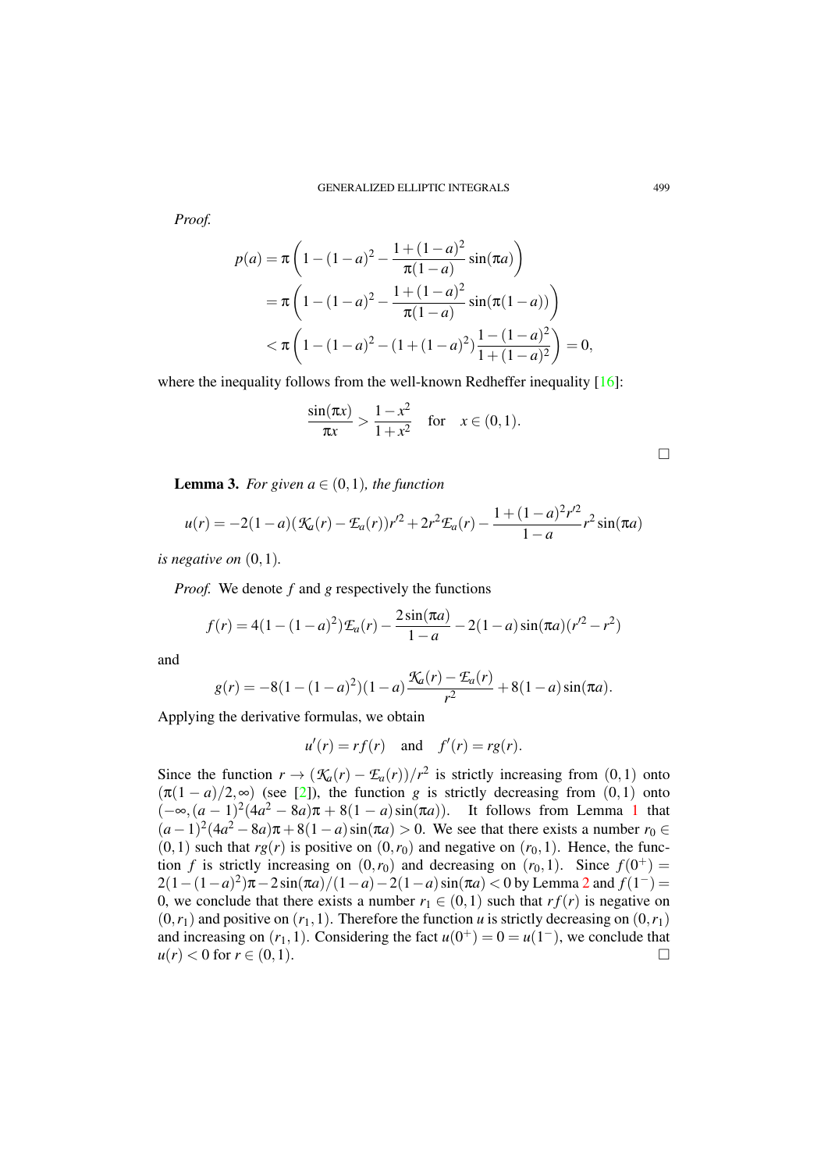*Proof.*

$$
p(a) = \pi \left( 1 - (1 - a)^2 - \frac{1 + (1 - a)^2}{\pi (1 - a)} \sin(\pi a) \right)
$$
  
=  $\pi \left( 1 - (1 - a)^2 - \frac{1 + (1 - a)^2}{\pi (1 - a)} \sin(\pi (1 - a)) \right)$   
<  $\pi \left( 1 - (1 - a)^2 - (1 + (1 - a)^2) \frac{1 - (1 - a)^2}{1 + (1 - a)^2} \right) = 0,$ 

where the inequality follows from the well-known Redheffer inequality [\[16\]](#page-7-10):

$$
\frac{\sin(\pi x)}{\pi x} > \frac{1 - x^2}{1 + x^2} \quad \text{for} \quad x \in (0, 1).
$$

<span id="page-4-0"></span>**Lemma 3.** *For given a*  $\in$   $(0,1)$ *, the function* 

$$
u(r) = -2(1-a)\left(\mathcal{K}_a(r) - \mathcal{L}_a(r)\right)r'^2 + 2r^2\mathcal{L}_a(r) - \frac{1 + (1-a)^2r'^2}{1-a}r^2\sin(\pi a)
$$

*is negative on* (0,1)*.*

*Proof.* We denote *f* and *g* respectively the functions

$$
f(r) = 4(1 - (1 - a)^{2})\mathcal{L}_{a}(r) - \frac{2\sin(\pi a)}{1 - a} - 2(1 - a)\sin(\pi a)(r^{2} - r^{2})
$$

and

$$
g(r) = -8(1 - (1 - a)^{2})(1 - a) \frac{\mathcal{K}_{a}(r) - \mathcal{L}_{a}(r)}{r^{2}} + 8(1 - a) \sin(\pi a).
$$

Applying the derivative formulas, we obtain

$$
u'(r) = rf(r) \quad \text{and} \quad f'(r) = rg(r).
$$

Since the function  $r \to (\mathcal{K}_a(r) - \mathcal{F}_a(r))/r^2$  is strictly increasing from (0,1) onto  $(\pi(1-a)/2,\infty)$  (see [\[2\]](#page-7-0)), the function *g* is strictly decreasing from (0,1) onto  $(-∞, (a-1)<sup>2</sup>(4a<sup>2</sup> - 8a)π + 8(1 – a)sin(πa))$  $(-∞, (a-1)<sup>2</sup>(4a<sup>2</sup> - 8a)π + 8(1 – a)sin(πa))$  $(-∞, (a-1)<sup>2</sup>(4a<sup>2</sup> - 8a)π + 8(1 – a)sin(πa))$ . It follows from Lemma 1 that  $(a-1)^2(4a^2-8a)\pi+8(1-a)\sin(\pi a) > 0$ . We see that there exists a number  $r_0 \in$  $(0,1)$  such that  $rg(r)$  is positive on  $(0,r_0)$  and negative on  $(r_0,1)$ . Hence, the function *f* is strictly increasing on  $(0, r_0)$  and decreasing on  $(r_0, 1)$ . Since  $f(0^+)$  $2(1 - (1 - a)^2)\pi - 2\sin(\pi a)/(1 - a) - 2(1 - a)\sin(\pi a) < 0$  $2(1 - (1 - a)^2)\pi - 2\sin(\pi a)/(1 - a) - 2(1 - a)\sin(\pi a) < 0$  by Lemma 2 and  $f(1^{-}) =$ 0, we conclude that there exists a number  $r_1 \in (0,1)$  such that  $rf(r)$  is negative on  $(0, r_1)$  and positive on  $(r_1, 1)$ . Therefore the function *u* is strictly decreasing on  $(0, r_1)$ and increasing on  $(r_1, 1)$ . Considering the fact  $u(0^+) = 0 = u(1^-)$ , we conclude that  $u(r) < 0$  for  $r \in (0,1)$ .

□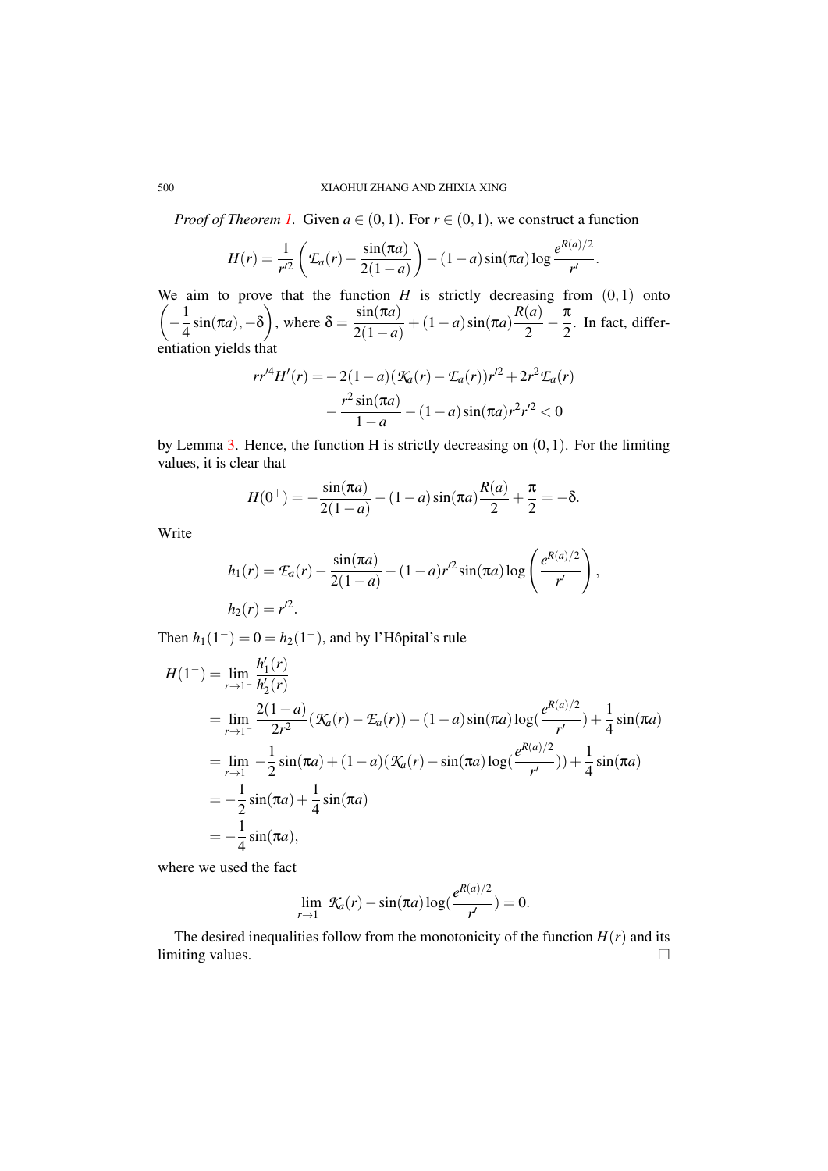#### 500 XIAOHUI ZHANG AND ZHIXIA XING

*Proof of Theorem [1.](#page-2-1)* Given  $a \in (0,1)$ . For  $r \in (0,1)$ , we construct a function

$$
H(r) = \frac{1}{r'^2} \left( \mathcal{E}_a(r) - \frac{\sin(\pi a)}{2(1-a)} \right) - (1-a) \sin(\pi a) \log \frac{e^{R(a)/2}}{r'}.
$$

We aim to prove that the function  $H$  is strictly decreasing from  $(0,1)$  onto  $\left(-\frac{1}{4}\right)$  $\frac{1}{4}\sin(\pi a), -\delta\bigg)$ , where  $\delta = \frac{\sin(\pi a)}{2(1-a)}$  $\frac{\sin(\pi a)}{2(1-a)} + (1-a)\sin(\pi a)\frac{R(a)}{2}$  $\frac{(a)}{2} - \frac{\pi}{2}$  $\frac{\pi}{2}$ . In fact, differentiation yields that

$$
rr'^{4}H'(r) = -2(1-a)(\mathcal{K}_{a}(r) - \mathcal{L}_{a}(r))r'^{2} + 2r^{2}\mathcal{L}_{a}(r)
$$

$$
-\frac{r^{2}\sin(\pi a)}{1-a} - (1-a)\sin(\pi a)r^{2}r'^{2} < 0
$$

by Lemma [3.](#page-4-0) Hence, the function H is strictly decreasing on  $(0,1)$ . For the limiting values, it is clear that

$$
H(0^+) = -\frac{\sin(\pi a)}{2(1-a)} - (1-a)\sin(\pi a)\frac{R(a)}{2} + \frac{\pi}{2} = -\delta.
$$

Write

$$
h_1(r) = \mathcal{L}_a(r) - \frac{\sin(\pi a)}{2(1-a)} - (1-a)r'^2 \sin(\pi a) \log\left(\frac{e^{R(a)/2}}{r'}\right),
$$
  

$$
h_2(r) = r'^2.
$$

Then  $h_1(1^-) = 0 = h_2(1^-)$ , and by l'Hôpital's rule

$$
H(1^{-}) = \lim_{r \to 1^{-}} \frac{h'_1(r)}{h'_2(r)}
$$
  
= 
$$
\lim_{r \to 1^{-}} \frac{2(1-a)}{2r^2} (\mathcal{K}_a(r) - \mathcal{E}_a(r)) - (1-a) \sin(\pi a) \log(\frac{e^{R(a)/2}}{r'}) + \frac{1}{4} \sin(\pi a)
$$
  
= 
$$
\lim_{r \to 1^{-}} -\frac{1}{2} \sin(\pi a) + (1-a)(\mathcal{K}_a(r) - \sin(\pi a) \log(\frac{e^{R(a)/2}}{r'})) + \frac{1}{4} \sin(\pi a)
$$
  
= 
$$
-\frac{1}{2} \sin(\pi a) + \frac{1}{4} \sin(\pi a)
$$
  
= 
$$
-\frac{1}{4} \sin(\pi a),
$$

where we used the fact

$$
\lim_{r \to 1^{-}} \mathcal{K}_a(r) - \sin(\pi a) \log(\frac{e^{R(a)/2}}{r'}) = 0.
$$

The desired inequalities follow from the monotonicity of the function  $H(r)$  and its limiting values. □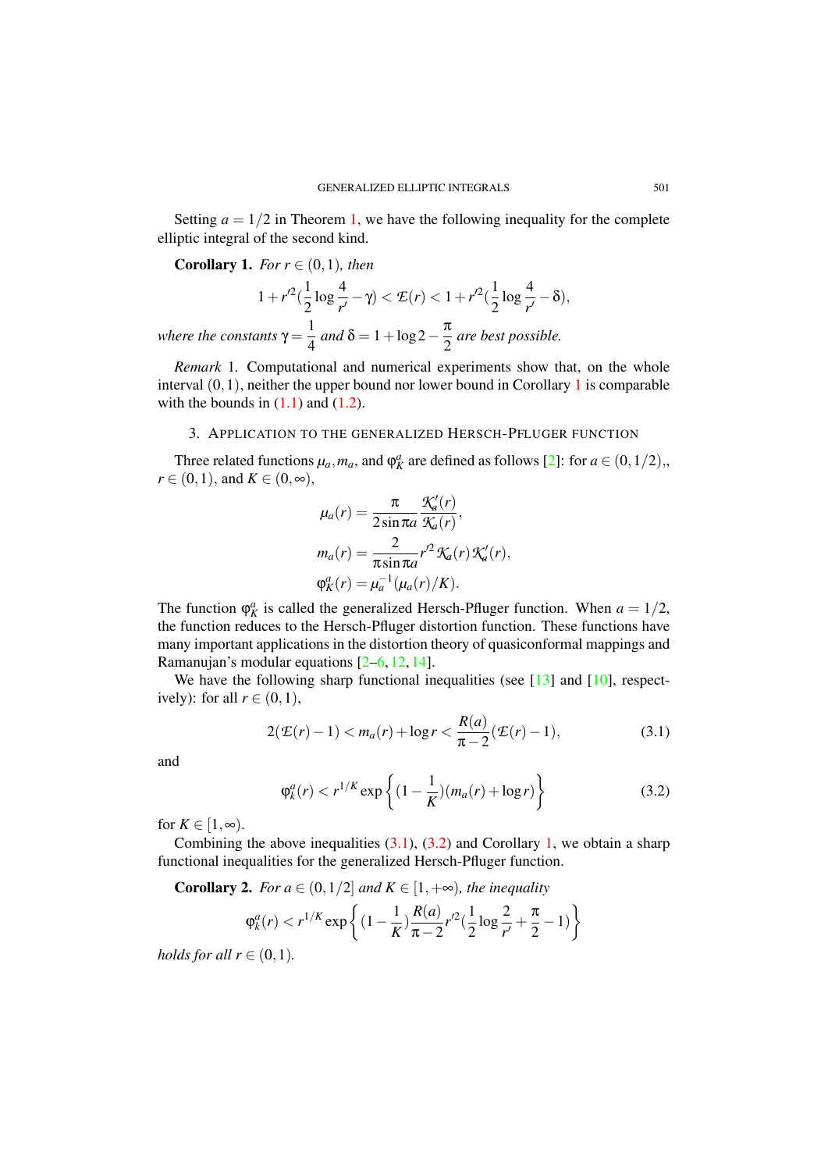Setting  $a = 1/2$  in Theorem [1,](#page-2-1) we have the following inequality for the complete elliptic integral of the second kind.

<span id="page-6-1"></span>**Corollary 1.** *For*  $r \in (0,1)$ *, then* 

$$
1 + r'^2 \left( \frac{1}{2} \log \frac{4}{r'} - \gamma \right) < \mathcal{E}(r) < 1 + r'^2 \left( \frac{1}{2} \log \frac{4}{r'} - \delta \right),
$$

*where the constants*  $\gamma = \frac{1}{4}$  $\frac{1}{4}$  and  $\delta = 1 + \log 2 - \frac{\pi}{2}$  $\frac{\pi}{2}$  are best possible.

*Remark* 1*.* Computational and numerical experiments show that, on the whole interval  $(0,1)$  $(0,1)$  $(0,1)$ , neither the upper bound nor lower bound in Corollary 1 is comparable with the bounds in  $(1.1)$  and  $(1.2)$ .

### 3. APPLICATION TO THE GENERALIZED HERSCH-PFLUGER FUNCTION

<span id="page-6-0"></span>Three related functions  $\mu_a$ ,  $m_a$ , and  $\varphi_K^a$  are defined as follows [\[2\]](#page-7-0): for  $a \in (0,1/2)$ ,  $r \in (0,1)$ , and  $K \in (0,\infty)$ ,

$$
\mu_a(r) = \frac{\pi}{2 \sin \pi a} \frac{\mathcal{K}'_a(r)}{\mathcal{K}_a(r)},
$$

$$
m_a(r) = \frac{2}{\pi \sin \pi a} r'^2 \mathcal{K}_a(r) \mathcal{K}'_a(r),
$$

$$
\varphi^a_K(r) = \mu_a^{-1} (\mu_a(r)/K).
$$

The function  $\varphi_K^a$  is called the generalized Hersch-Pfluger function. When  $a = 1/2$ , the function reduces to the Hersch-Pfluger distortion function. These functions have many important applications in the distortion theory of quasiconformal mappings and Ramanujan's modular equations [\[2](#page-7-0)[–6,](#page-7-5) [12,](#page-7-11) [14\]](#page-7-12).

We have the following sharp functional inequalities (see  $[13]$  and  $[10]$ , respectively): for all  $r \in (0,1)$ ,

$$
2(\mathcal{E}(r)-1) < m_a(r) + \log r < \frac{R(a)}{\pi - 2}(\mathcal{E}(r) - 1),\tag{3.1}
$$

and

<span id="page-6-3"></span><span id="page-6-2"></span>
$$
\varphi_k^a(r) < r^{1/K} \exp\left\{ (1 - \frac{1}{K})(m_a(r) + \log r) \right\} \tag{3.2}
$$

for  $K \in [1, \infty)$ .

Combining the above inequalities  $(3.1)$ ,  $(3.2)$  and Corollary [1,](#page-6-1) we obtain a sharp functional inequalities for the generalized Hersch-Pfluger function.

**Corollary 2.** *For a*  $\in$   $(0,1/2]$  *and*  $K \in [1,+\infty)$ *, the inequality* 

$$
\varphi_k^a(r) < r^{1/K} \exp\left\{ (1 - \frac{1}{K}) \frac{R(a)}{\pi - 2} r'^2 \left( \frac{1}{2} \log \frac{2}{r'} + \frac{\pi}{2} - 1 \right) \right\}
$$

*holds for all*  $r \in (0,1)$ *.*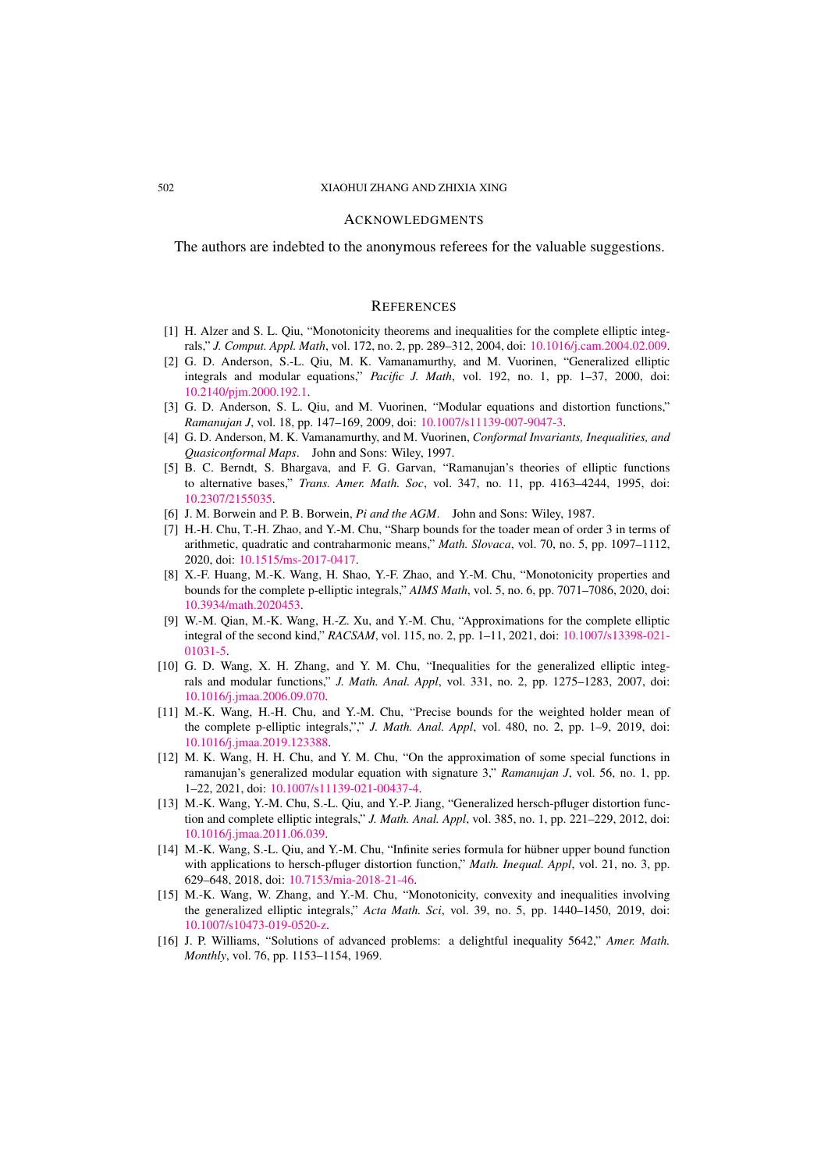#### ACKNOWLEDGMENTS

The authors are indebted to the anonymous referees for the valuable suggestions.

#### **REFERENCES**

- <span id="page-7-1"></span>[1] H. Alzer and S. L. Qiu, "Monotonicity theorems and inequalities for the complete elliptic integrals," *J. Comput. Appl. Math*, vol. 172, no. 2, pp. 289–312, 2004, doi: [10.1016/j.cam.2004.02.009.](http://dx.doi.org/10.1016/j.cam.2004.02.009)
- <span id="page-7-0"></span>[2] G. D. Anderson, S.-L. Qiu, M. K. Vamanamurthy, and M. Vuorinen, "Generalized elliptic integrals and modular equations," *Pacific J. Math*, vol. 192, no. 1, pp. 1–37, 2000, doi: [10.2140/pjm.2000.192.1.](http://dx.doi.org/10.2140/pjm.2000.192.1)
- [3] G. D. Anderson, S. L. Qiu, and M. Vuorinen, "Modular equations and distortion functions," *Ramanujan J*, vol. 18, pp. 147–169, 2009, doi: [10.1007/s11139-007-9047-3.](http://dx.doi.org/10.1007/s11139-007-9047-3)
- <span id="page-7-2"></span>[4] G. D. Anderson, M. K. Vamanamurthy, and M. Vuorinen, *Conformal Invariants, Inequalities, and Quasiconformal Maps*. John and Sons: Wiley, 1997.
- [5] B. C. Berndt, S. Bhargava, and F. G. Garvan, "Ramanujan's theories of elliptic functions to alternative bases," *Trans. Amer. Math. Soc*, vol. 347, no. 11, pp. 4163–4244, 1995, doi: [10.2307/2155035.](http://dx.doi.org/10.2307/2155035)
- <span id="page-7-5"></span>[6] J. M. Borwein and P. B. Borwein, *Pi and the AGM*. John and Sons: Wiley, 1987.
- <span id="page-7-3"></span>[7] H.-H. Chu, T.-H. Zhao, and Y.-M. Chu, "Sharp bounds for the toader mean of order 3 in terms of arithmetic, quadratic and contraharmonic means," *Math. Slovaca*, vol. 70, no. 5, pp. 1097–1112, 2020, doi: [10.1515/ms-2017-0417.](http://dx.doi.org/10.1515/ms-2017-0417)
- <span id="page-7-6"></span>[8] X.-F. Huang, M.-K. Wang, H. Shao, Y.-F. Zhao, and Y.-M. Chu, "Monotonicity properties and bounds for the complete p-elliptic integrals," *AIMS Math*, vol. 5, no. 6, pp. 7071–7086, 2020, doi: [10.3934/math.2020453.](http://dx.doi.org/10.3934/math.2020453)
- <span id="page-7-4"></span>[9] W.-M. Qian, M.-K. Wang, H.-Z. Xu, and Y.-M. Chu, "Approximations for the complete elliptic integral of the second kind," *RACSAM*, vol. 115, no. 2, pp. 1–11, 2021, doi: [10.1007/s13398-021-](http://dx.doi.org/10.1007/s13398-021-01031-5) [01031-5.](http://dx.doi.org/10.1007/s13398-021-01031-5)
- <span id="page-7-7"></span>[10] G. D. Wang, X. H. Zhang, and Y. M. Chu, "Inequalities for the generalized elliptic integrals and modular functions," *J. Math. Anal. Appl*, vol. 331, no. 2, pp. 1275–1283, 2007, doi: [10.1016/j.jmaa.2006.09.070.](http://dx.doi.org/10.1016/j.jmaa.2006.09.070)
- [11] M.-K. Wang, H.-H. Chu, and Y.-M. Chu, "Precise bounds for the weighted holder mean of the complete p-elliptic integrals,"," *J. Math. Anal. Appl*, vol. 480, no. 2, pp. 1–9, 2019, doi: [10.1016/j.jmaa.2019.123388.](http://dx.doi.org/10.1016/j.jmaa.2019.123388)
- <span id="page-7-11"></span>[12] M. K. Wang, H. H. Chu, and Y. M. Chu, "On the approximation of some special functions in ramanujan's generalized modular equation with signature 3," *Ramanujan J*, vol. 56, no. 1, pp. 1–22, 2021, doi: [10.1007/s11139-021-00437-4.](http://dx.doi.org/10.1007/s11139-021-00437-4)
- <span id="page-7-8"></span>[13] M.-K. Wang, Y.-M. Chu, S.-L. Qiu, and Y.-P. Jiang, "Generalized hersch-pfluger distortion function and complete elliptic integrals," *J. Math. Anal. Appl*, vol. 385, no. 1, pp. 221–229, 2012, doi: [10.1016/j.jmaa.2011.06.039.](http://dx.doi.org/10.1016/j.jmaa.2011.06.039)
- <span id="page-7-12"></span>[14] M.-K. Wang, S.-L. Qiu, and Y.-M. Chu, "Infinite series formula for hübner upper bound function with applications to hersch-pfluger distortion function," *Math. Inequal. Appl*, vol. 21, no. 3, pp. 629–648, 2018, doi: [10.7153/mia-2018-21-46.](http://dx.doi.org/10.7153/mia-2018-21-46)
- <span id="page-7-9"></span>[15] M.-K. Wang, W. Zhang, and Y.-M. Chu, "Monotonicity, convexity and inequalities involving the generalized elliptic integrals," *Acta Math. Sci*, vol. 39, no. 5, pp. 1440–1450, 2019, doi: [10.1007/s10473-019-0520-z.](http://dx.doi.org/10.1007/s10473-019-0520-z)
- <span id="page-7-10"></span>[16] J. P. Williams, "Solutions of advanced problems: a delightful inequality 5642," *Amer. Math. Monthly*, vol. 76, pp. 1153–1154, 1969.